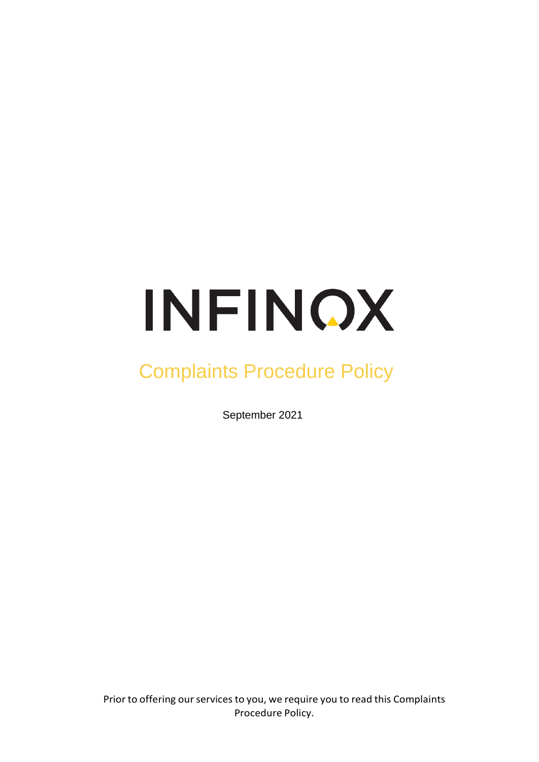# INFINOX

# Complaints Procedure Policy

September 2021

Prior to offering our services to you, we require you to read this Complaints Procedure Policy.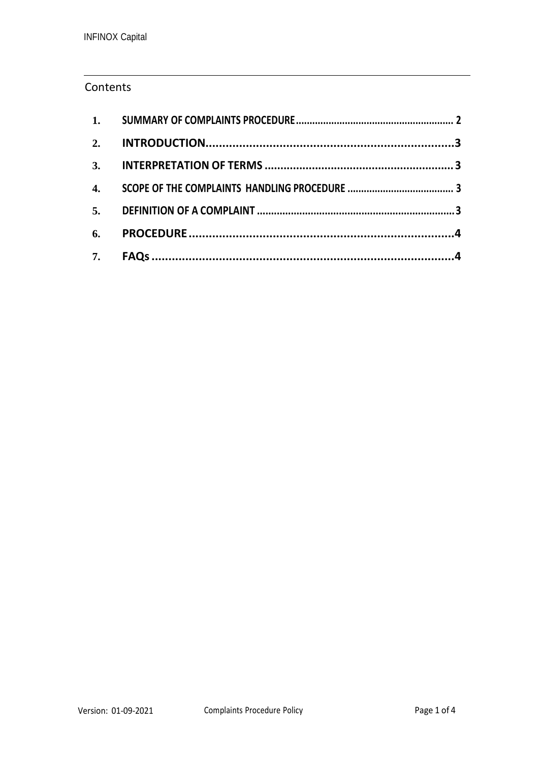# **Contents**

| 4. |  |
|----|--|
|    |  |
| 6. |  |
| 7. |  |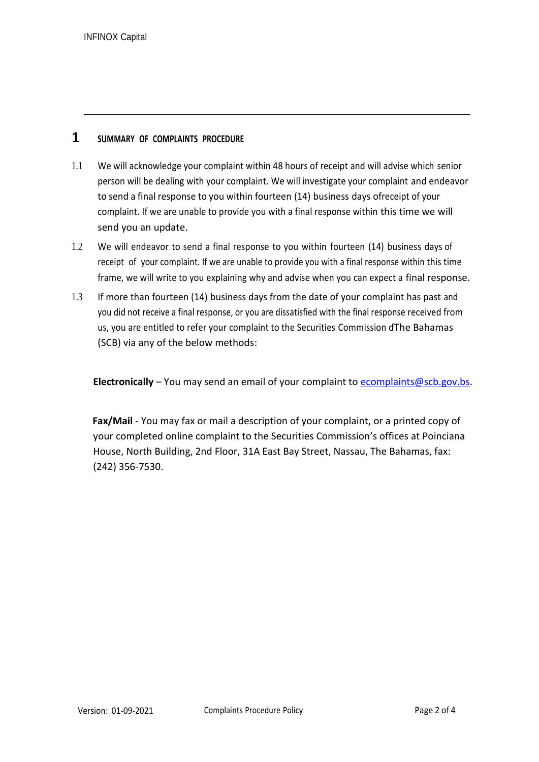# **1 SUMMARY OF COMPLAINTS PROCEDURE**

- <span id="page-2-0"></span>1.1 We will acknowledge your complaint within 48 hours of receipt and will advise which senior person will be dealing with your complaint. We will investigate your complaint and endeavor to send a final response to you within fourteen (14) business days ofreceipt of your complaint. If we are unable to provide you with a final response within this time we will send you an update.
- 1.2 We will endeavor to send a final response to you within fourteen (14) business days of receipt of your complaint. If we are unable to provide you with a final response within this time frame, we will write to you explaining why and advise when you can expect a final response.
- 1.3 If more than fourteen (14) business days from the date of your complaint has past and you did not receive a final response, or you are dissatisfied with the final response received from us, you are entitled to refer your complaint to the Securities Commission ofThe Bahamas (SCB) via any of the below methods:

Electronically – You may send an email of your complaint to [ecomplaints@scb.gov.bs.](mailto:ecomplaints@scb.gov.bs)

**Fax/Mail** - You may fax or mail a description of your complaint, or a printed copy of your completed online complaint to the Securities Commission's offices at Poinciana House, North Building, 2nd Floor, 31A East Bay Street, Nassau, The Bahamas, fax: (242) 356-7530.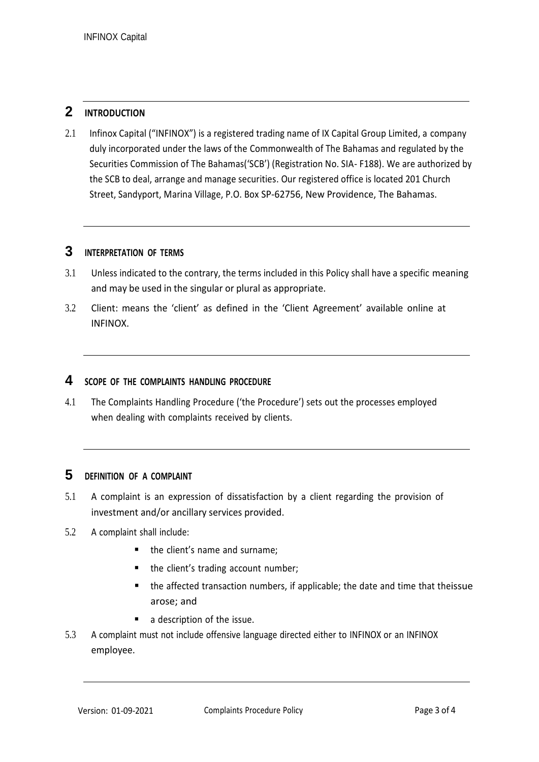# <span id="page-3-0"></span>**2 INTRODUCTION**

2.1 Infinox Capital ("INFINOX") is a registered trading name of IX Capital Group Limited, a company duly incorporated under the laws of the Commonwealth of The Bahamas and regulated by the Securities Commission of The Bahamas('SCB') (Registration No. SIA- F188). We are authorized by the SCB to deal, arrange and manage securities. Our registered office is located 201 Church Street, Sandyport, Marina Village, P.O. Box SP-62756, New Providence, The Bahamas.

#### <span id="page-3-1"></span>**3 INTERPRETATION OF TERMS**

- 3.1 Unless indicated to the contrary, the terms included in this Policy shall have a specific meaning and may be used in the singular or plural as appropriate.
- 3.2 Client: means the 'client' as defined in the 'Client Agreement' available online at INFINOX.

#### <span id="page-3-2"></span>**4 SCOPE OF THE COMPLAINTS HANDLING PROCEDURE**

4.1 The Complaints Handling Procedure ('the Procedure') sets out the processes employed when dealing with complaints received by clients.

#### <span id="page-3-3"></span>**5 DEFINITION OF <sup>A</sup> COMPLAINT**

- 5.1 A complaint is an expression of dissatisfaction by a client regarding the provision of investment and/or ancillary services provided.
- 5.2 A complaint shall include:
	- the client's name and surname;
	- the client's trading account number;
	- the affected transaction numbers, if applicable; the date and time that theissue arose; and
	- a description of the issue.
- 5.3 A complaint must not include offensive language directed either to INFINOX or an INFINOX employee.